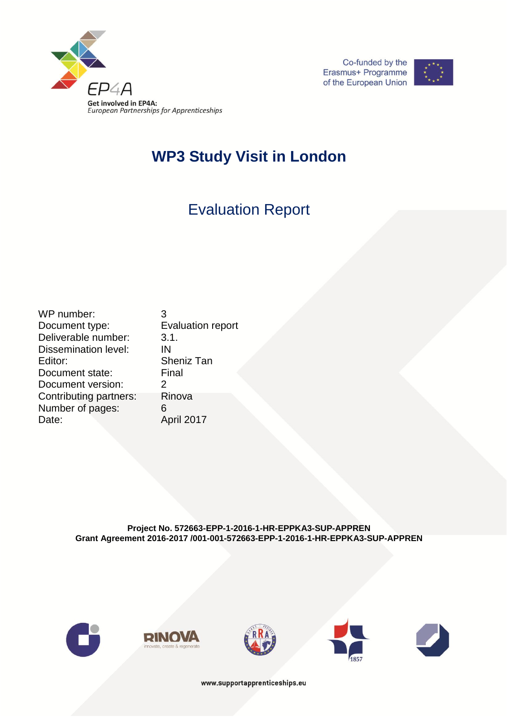





## **WP3 Study Visit in London**

# Evaluation Report

WP number: 3 Document type: Evaluation report Deliverable number: 3.1. Dissemination level: IN Editor: Sheniz Tan<br>Document state: Final Document state: Document version: 2 Contributing partners: Rinova Number of pages: 6 Date: April 2017

**Project No. 572663-EPP-1-2016-1-HR-EPPKA3-SUP-APPREN Grant Agreement 2016-2017 /001-001-572663-EPP-1-2016-1-HR-EPPKA3-SUP-APPREN**











www.supportapprenticeships.eu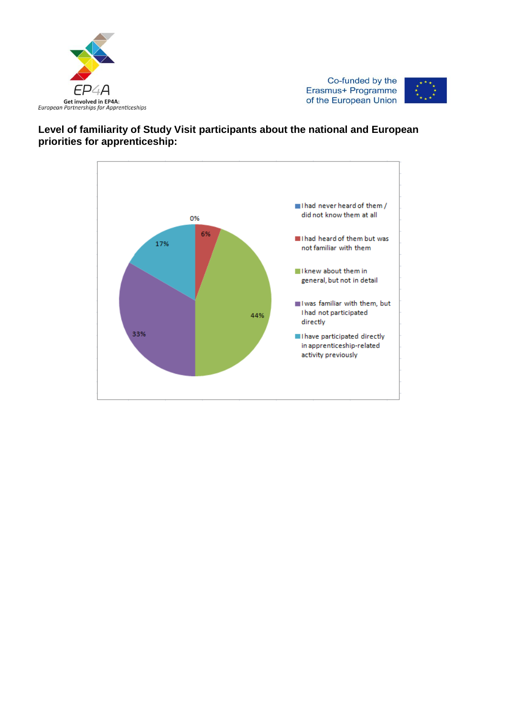





### **Level of familiarity of Study Visit participants about the national and European priorities for apprenticeship:**

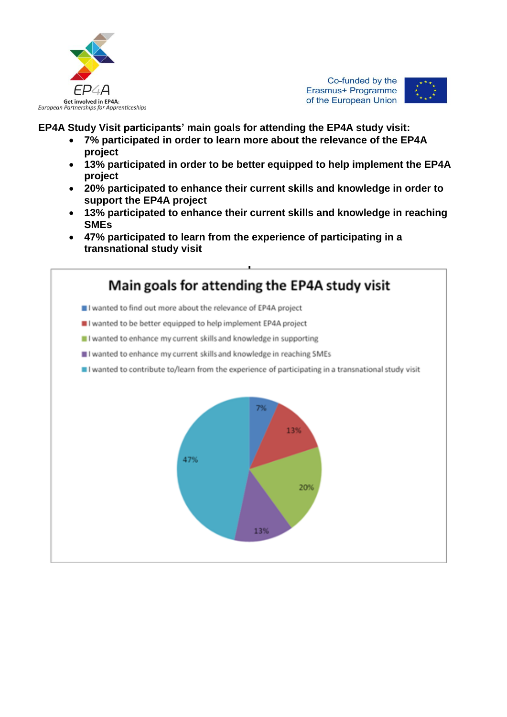

Co-funded by the Erasmus+ Programme of the European Union



**EP4A Study Visit participants' main goals for attending the EP4A study visit:**

- **7% participated in order to learn more about the relevance of the EP4A project**
- **13% participated in order to be better equipped to help implement the EP4A project**
- **20% participated to enhance their current skills and knowledge in order to support the EP4A project**
- **13% participated to enhance their current skills and knowledge in reaching SMEs**
- **47% participated to learn from the experience of participating in a transnational study visit**

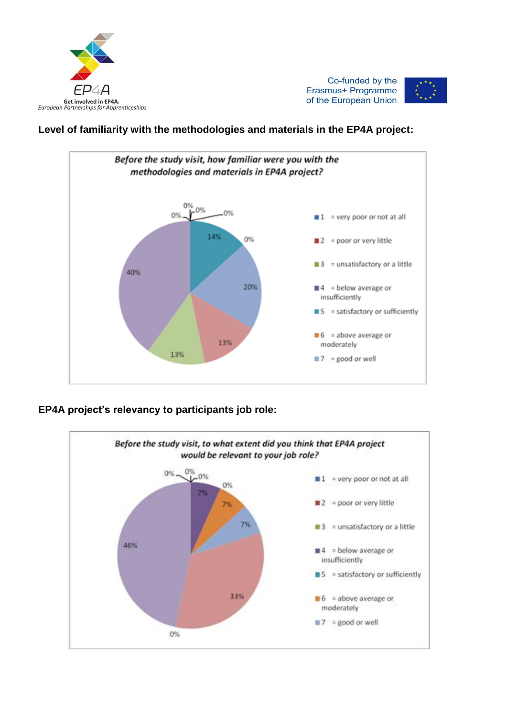

Co-funded by the Erasmus+ Programme of the European Union



## **Level of familiarity with the methodologies and materials in the EP4A project:**



## **EP4A project's relevancy to participants job role:**

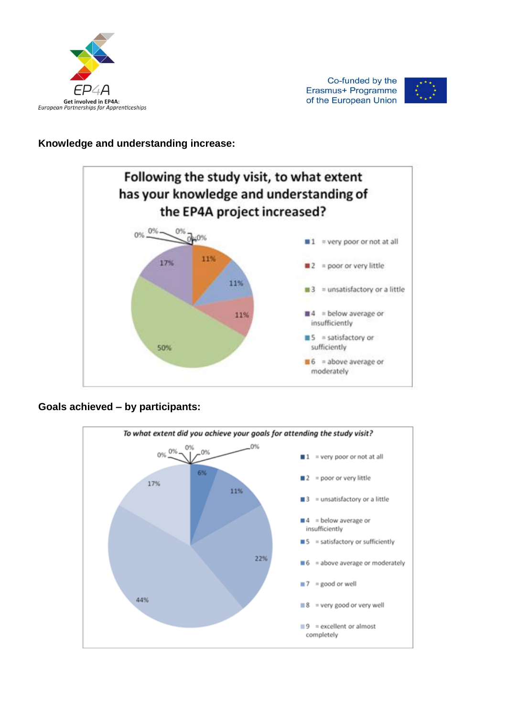



### **Knowledge and understanding increase:**



## **Goals achieved – by participants:**

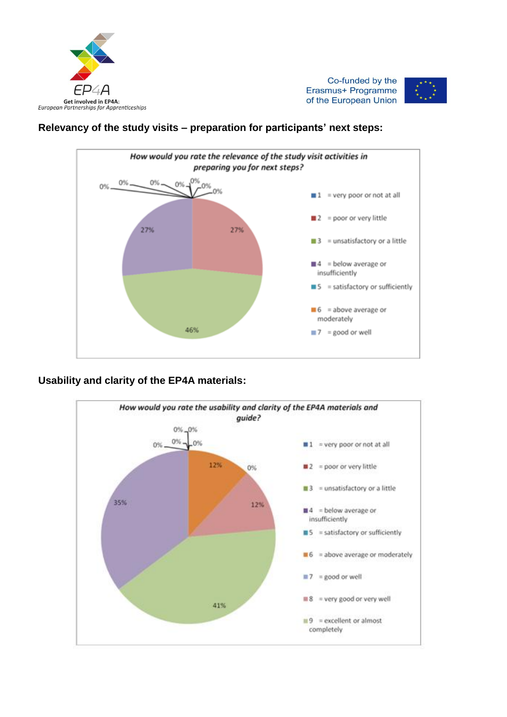





### **Relevancy of the study visits – preparation for participants' next steps:**



#### **Usability and clarity of the EP4A materials:**